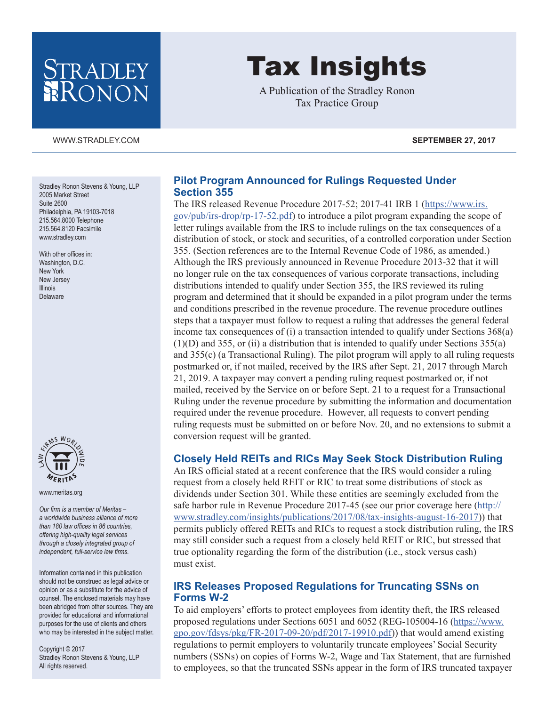## STRADLEY RONON

# Tax Insights

A Publication of the Stradley Ronon Tax Practice Group

Stradley Ronon Stevens & Young, LLP 2005 Market Street Suite 2600 Philadelphia, PA 19103-7018 215.564.8000 Telephone 215.564.8120 Facsimile [www.stradley.com](http://www.stradley.com)

With other offices in: Washington, D.C. New York New Jersey Illinois Delaware



[www.meritas.org](http://www.meritas.org)

*Our firm is a member of Meritas – a worldwide business alliance of more than 180 law offices in 86 countries, offering high-quality legal services through a closely integrated group of independent, full-service law firms.*

Information contained in this publication should not be construed as legal advice or opinion or as a substitute for the advice of counsel. The enclosed materials may have been abridged from other sources. They are provided for educational and informational purposes for the use of clients and others who may be interested in the subject matter.

Copyright © 2017 Stradley Ronon Stevens & Young, LLP All rights reserved.

#### **Pilot Program Announced for Rulings Requested Under Section 355**

The IRS released Revenue Procedure 2017-52; 2017-41 IRB 1 ([https://www.irs.](https://www.irs.gov/pub/irs-drop/rp-17-52.pdf) [gov/pub/irs-drop/rp-17-52.pdf\)](https://www.irs.gov/pub/irs-drop/rp-17-52.pdf) to introduce a pilot program expanding the scope of letter rulings available from the IRS to include rulings on the tax consequences of a distribution of stock, or stock and securities, of a controlled corporation under Section 355. (Section references are to the Internal Revenue Code of 1986, as amended.) Although the IRS previously announced in Revenue Procedure 2013-32 that it will no longer rule on the tax consequences of various corporate transactions, including distributions intended to qualify under Section 355, the IRS reviewed its ruling program and determined that it should be expanded in a pilot program under the terms and conditions prescribed in the revenue procedure. The revenue procedure outlines steps that a taxpayer must follow to request a ruling that addresses the general federal income tax consequences of (i) a transaction intended to qualify under Sections 368(a)  $(1)(D)$  and 355, or (ii) a distribution that is intended to qualify under Sections 355(a) and 355(c) (a Transactional Ruling). The pilot program will apply to all ruling requests postmarked or, if not mailed, received by the IRS after Sept. 21, 2017 through March 21, 2019. A taxpayer may convert a pending ruling request postmarked or, if not mailed, received by the Service on or before Sept. 21 to a request for a Transactional Ruling under the revenue procedure by submitting the information and documentation required under the revenue procedure. However, all requests to convert pending ruling requests must be submitted on or before Nov. 20, and no extensions to submit a conversion request will be granted.

#### **Closely Held REITs and RICs May Seek Stock Distribution Ruling**

An IRS official stated at a recent conference that the IRS would consider a ruling request from a closely held REIT or RIC to treat some distributions of stock as dividends under Section 301. While these entities are seemingly excluded from the safe harbor rule in Revenue Procedure 2017-45 (see our prior coverage here ([http://](http://www.stradley.com/insights/publications/2017/08/tax-insights-august-16-2017) [www.stradley.com/insights/publications/2017/08/tax-insights-august-16-2017\)](http://www.stradley.com/insights/publications/2017/08/tax-insights-august-16-2017)) that permits publicly offered REITs and RICs to request a stock distribution ruling, the IRS may still consider such a request from a closely held REIT or RIC, but stressed that true optionality regarding the form of the distribution (i.e., stock versus cash) must exist.

#### **IRS Releases Proposed Regulations for Truncating SSNs on Forms W-2**

To aid employers' efforts to protect employees from identity theft, the IRS released proposed regulations under Sections 6051 and 6052 (REG-105004-16 ([https://www.](https://www.gpo.gov/fdsys/pkg/FR-2017-09-20/pdf/2017-19910.pdf) [gpo.gov/fdsys/pkg/FR-2017-09-20/pdf/2017-19910.pdf](https://www.gpo.gov/fdsys/pkg/FR-2017-09-20/pdf/2017-19910.pdf))) that would amend existing regulations to permit employers to voluntarily truncate employees' Social Security numbers (SSNs) on copies of Forms W-2, Wage and Tax Statement, that are furnished to employees, so that the truncated SSNs appear in the form of IRS truncated taxpayer

[WWW.STRADLEY.COM](www.stradley.com) **SEPTEMBER 27, 2017**